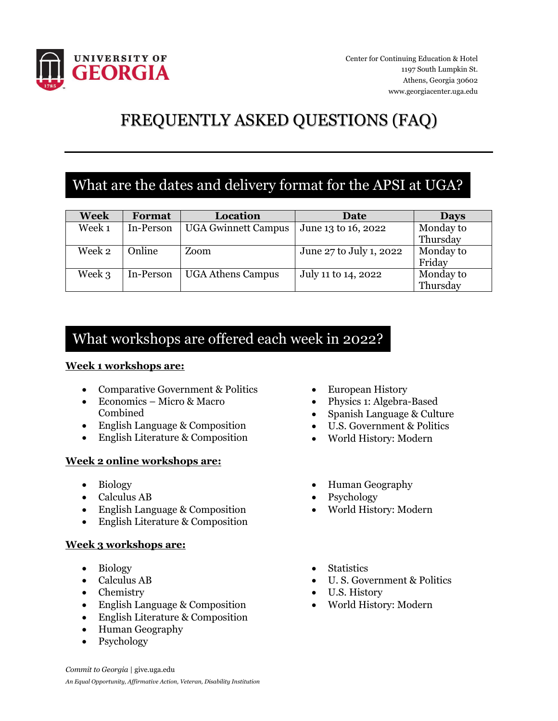

Center for Continuing Education & Hotel 1197 South Lumpkin St. Athens, Georgia 30602 www.georgiacenter.uga.edu

# FREQUENTLY ASKED QUESTIONS (FAQ)

## What are the dates and delivery format for the APSI at UGA?

| Week   | Format    | Location                   | Date                    | <b>Days</b>           |
|--------|-----------|----------------------------|-------------------------|-----------------------|
| Week 1 | In-Person | <b>UGA Gwinnett Campus</b> | June 13 to 16, 2022     | Monday to<br>Thursday |
| Week 2 | Online    | Zoom                       | June 27 to July 1, 2022 | Monday to<br>Friday   |
| Week 3 | In-Person | <b>UGA Athens Campus</b>   | July 11 to 14, 2022     | Monday to<br>Thursday |

### What workshops are offered each week in 2022?

#### **Week 1 workshops are:**

- Comparative Government & Politics
- Economics Micro & Macro Combined
- English Language & Composition
- English Literature & Composition

#### **Week 2 online workshops are:**

- Biology
- Calculus AB
- English Language & Composition
- English Literature & Composition

#### **Week 3 workshops are:**

- Biology
- Calculus AB
- Chemistry
- English Language & Composition
- English Literature & Composition
- Human Geography
- Psychology
- European History
- Physics 1: Algebra-Based
- Spanish Language & Culture
- U.S. Government & Politics
- World History: Modern
- Human Geography
- Psychology
- World History: Modern
- Statistics
- U. S. Government & Politics
- U.S. History
- World History: Modern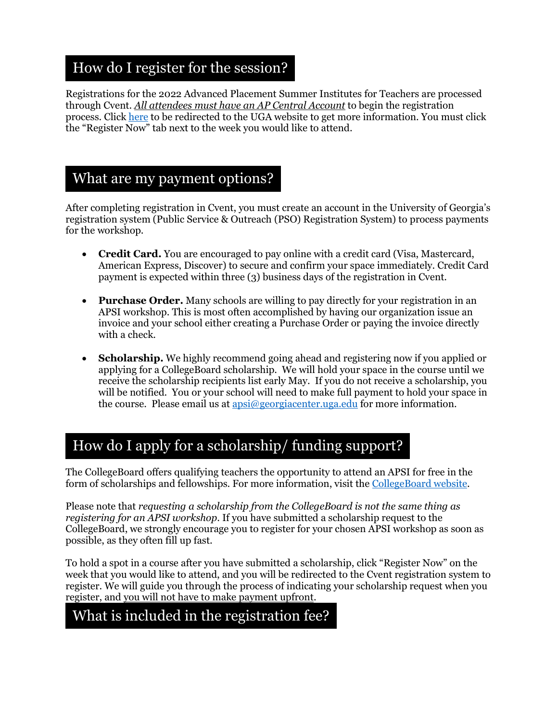## How do I register for the session?

Registrations for the 2022 Advanced Placement Summer Institutes for Teachers are processed through Cvent. *All attendees must have an AP Central Account* to begin the registration process. Click [here](https://www.georgiacenter.uga.edu/courses/teaching-and-education/advanced-placement-summer-institutes) to be redirected to the UGA website to get more information. You must click the "Register Now" tab next to the week you would like to attend.

### What are my payment options?

After completing registration in Cvent, you must create an account in the University of Georgia's registration system (Public Service & Outreach (PSO) Registration System) to process payments for the workshop.

- **Credit Card.** You are encouraged to pay online with a credit card (Visa, Mastercard, American Express, Discover) to secure and confirm your space immediately. Credit Card payment is expected within three (3) business days of the registration in Cvent.
- **Purchase Order.** Many schools are willing to pay directly for your registration in an APSI workshop. This is most often accomplished by having our organization issue an invoice and your school either creating a Purchase Order or paying the invoice directly with a check.
- **Scholarship.** We highly recommend going ahead and registering now if you applied or applying for a CollegeBoard scholarship. We will hold your space in the course until we receive the scholarship recipients list early May. If you do not receive a scholarship, you will be notified. You or your school will need to make full payment to hold your space in the course. Please email us at apsi $\omega$ georgiacenter.uga.edu for more information.

# How do I apply for a scholarship/ funding support?

The CollegeBoard offers qualifying teachers the opportunity to attend an APSI for free in the form of scholarships and fellowships. For more information, visit the [CollegeBoard website.](https://apcentral.collegeboard.org/learning-development/workshops-summer-institutes/summer-institute-scholarship)

Please note that *requesting a scholarship from the CollegeBoard is not the same thing as registering for an APSI workshop*. If you have submitted a scholarship request to the CollegeBoard, we strongly encourage you to register for your chosen APSI workshop as soon as possible, as they often fill up fast.

To hold a spot in a course after you have submitted a scholarship, click "Register Now" on the week that you would like to attend, and you will be redirected to the Cvent registration system to register. We will guide you through the process of indicating your scholarship request when you register, and you will not have to make payment upfront.

# What is included in the registration fee?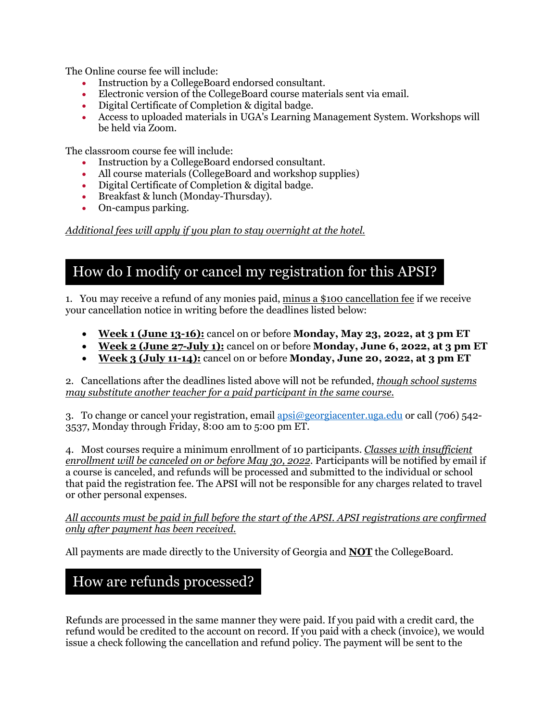The Online course fee will include:

- Instruction by a CollegeBoard endorsed consultant.
- Electronic version of the CollegeBoard course materials sent via email.
- Digital Certificate of Completion & digital badge.
- Access to uploaded materials in UGA's Learning Management System. Workshops will be held via Zoom.

The classroom course fee will include:

- Instruction by a CollegeBoard endorsed consultant.
- All course materials (CollegeBoard and workshop supplies)
- Digital Certificate of Completion & digital badge.
- Breakfast & lunch (Monday-Thursday).
- On-campus parking.

*Additional fees will apply if you plan to stay overnight at the hotel.*

### How do I modify or cancel my registration for this APSI?

1. You may receive a refund of any monies paid, minus a \$100 cancellation fee if we receive your cancellation notice in writing before the deadlines listed below:

- **Week 1 (June 13-16):** cancel on or before **Monday, May 23, 2022, at 3 pm ET**
- **Week 2 (June 27-July 1):** cancel on or before **Monday, June 6, 2022, at 3 pm ET**
- **Week 3 (July 11-14):** cancel on or before **Monday, June 20, 2022, at 3 pm ET**

2. Cancellations after the deadlines listed above will not be refunded, *though school systems may substitute another teacher for a paid participant in the same course.*

3. To change or cancel your registration, email  $a_\text{BSi}$   $\oslash a_\text{2}$  egg example or call (706) 542-3537, Monday through Friday, 8:00 am to 5:00 pm ET.

4. Most courses require a minimum enrollment of 10 participants. *Classes with insufficient enrollment will be canceled on or before May 30, 2022*. Participants will be notified by email if a course is canceled, and refunds will be processed and submitted to the individual or school that paid the registration fee. The APSI will not be responsible for any charges related to travel or other personal expenses.

#### *All accounts must be paid in full before the start of the APSI. APSI registrations are confirmed only after payment has been received.*

All payments are made directly to the University of Georgia and **NOT** the CollegeBoard.

### How are refunds processed?

Refunds are processed in the same manner they were paid. If you paid with a credit card, the refund would be credited to the account on record. If you paid with a check (invoice), we would issue a check following the cancellation and refund policy. The payment will be sent to the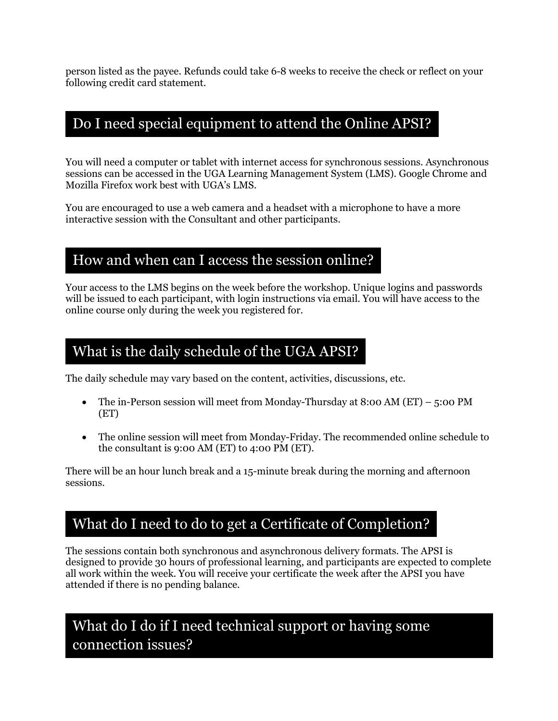person listed as the payee. Refunds could take 6-8 weeks to receive the check or reflect on your following credit card statement.

### Do I need special equipment to attend the Online APSI?

You will need a computer or tablet with internet access for synchronous sessions. Asynchronous sessions can be accessed in the UGA Learning Management System (LMS). Google Chrome and Mozilla Firefox work best with UGA's LMS.

You are encouraged to use a web camera and a headset with a microphone to have a more interactive session with the Consultant and other participants.

#### How and when can I access the session online?

Your access to the LMS begins on the week before the workshop. Unique logins and passwords will be issued to each participant, with login instructions via email. You will have access to the online course only during the week you registered for.

#### What is the daily schedule of the UGA APSI?

The daily schedule may vary based on the content, activities, discussions, etc.

- The in-Person session will meet from Monday-Thursday at 8:00 AM  $(ET) 5:00$  PM (ET)
- The online session will meet from Monday-Friday. The recommended online schedule to the consultant is 9:00 AM (ET) to 4:00 PM (ET).

There will be an hour lunch break and a 15-minute break during the morning and afternoon sessions.

## What do I need to do to get a Certificate of Completion?

The sessions contain both synchronous and asynchronous delivery formats. The APSI is designed to provide 30 hours of professional learning, and participants are expected to complete all work within the week. You will receive your certificate the week after the APSI you have attended if there is no pending balance.

### What do I do if I need technical support or having some connection issues?